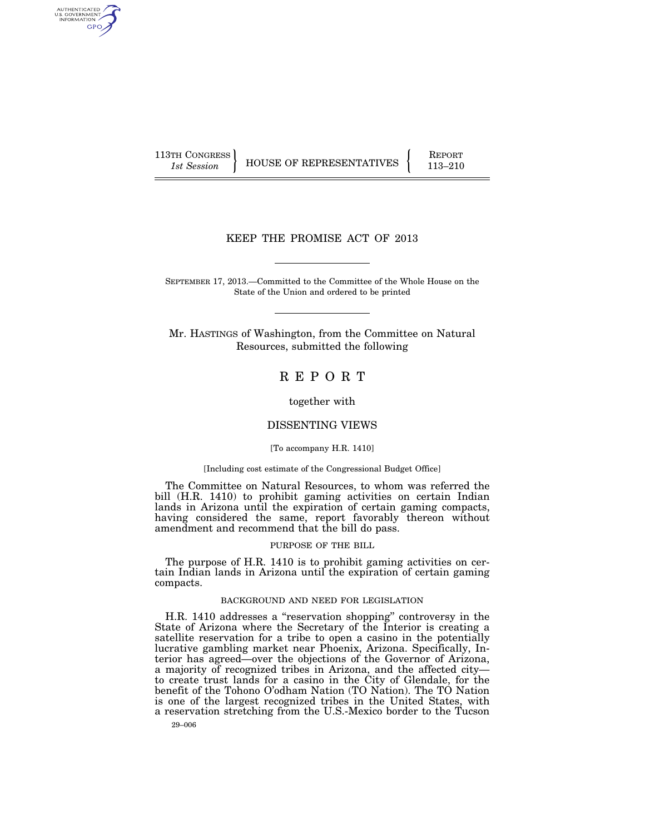AUTHENTICATED<br>U.S. GOVERNMENT<br>INFORMATION **GPO** 

113TH CONGRESS HOUSE OF REPRESENTATIVES FEPORT 113–210

## KEEP THE PROMISE ACT OF 2013

SEPTEMBER 17, 2013.—Committed to the Committee of the Whole House on the State of the Union and ordered to be printed

Mr. HASTINGS of Washington, from the Committee on Natural Resources, submitted the following

R E P O R T

together with

## DISSENTING VIEWS

#### [To accompany H.R. 1410]

#### [Including cost estimate of the Congressional Budget Office]

The Committee on Natural Resources, to whom was referred the bill (H.R. 1410) to prohibit gaming activities on certain Indian lands in Arizona until the expiration of certain gaming compacts, having considered the same, report favorably thereon without amendment and recommend that the bill do pass.

#### PURPOSE OF THE BILL

The purpose of H.R. 1410 is to prohibit gaming activities on certain Indian lands in Arizona until the expiration of certain gaming compacts.

## BACKGROUND AND NEED FOR LEGISLATION

H.R. 1410 addresses a ''reservation shopping'' controversy in the State of Arizona where the Secretary of the Interior is creating a satellite reservation for a tribe to open a casino in the potentially lucrative gambling market near Phoenix, Arizona. Specifically, Interior has agreed—over the objections of the Governor of Arizona, a majority of recognized tribes in Arizona, and the affected city to create trust lands for a casino in the City of Glendale, for the benefit of the Tohono O'odham Nation (TO Nation). The TO Nation is one of the largest recognized tribes in the United States, with a reservation stretching from the U.S.-Mexico border to the Tucson

29–006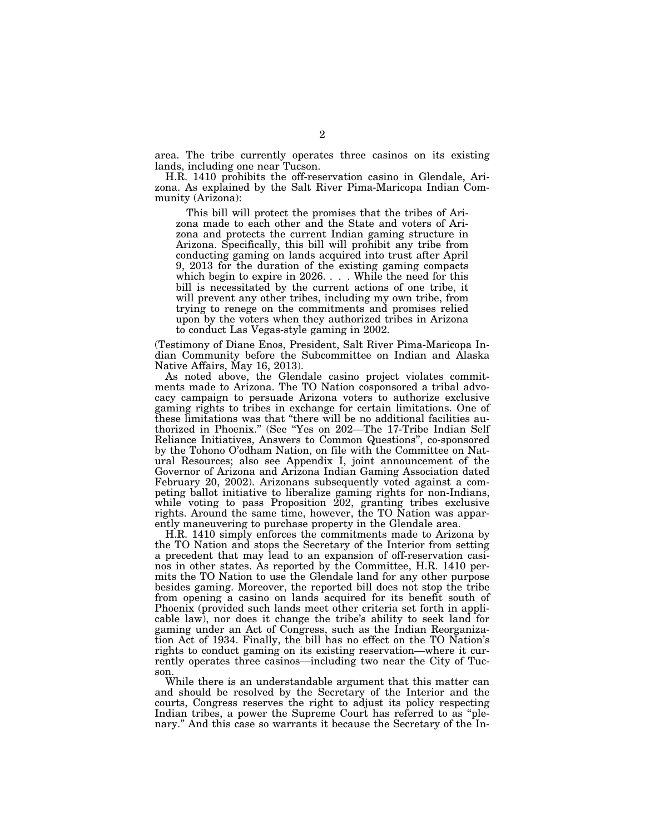area. The tribe currently operates three casinos on its existing lands, including one near Tucson.

H.R. 1410 prohibits the off-reservation casino in Glendale, Arizona. As explained by the Salt River Pima-Maricopa Indian Community (Arizona):

This bill will protect the promises that the tribes of Arizona made to each other and the State and voters of Arizona and protects the current Indian gaming structure in Arizona. Specifically, this bill will prohibit any tribe from conducting gaming on lands acquired into trust after April 9, 2013 for the duration of the existing gaming compacts which begin to expire in 2026. . . . While the need for this bill is necessitated by the current actions of one tribe, it will prevent any other tribes, including my own tribe, from trying to renege on the commitments and promises relied upon by the voters when they authorized tribes in Arizona to conduct Las Vegas-style gaming in 2002.

(Testimony of Diane Enos, President, Salt River Pima-Maricopa Indian Community before the Subcommittee on Indian and Alaska Native Affairs, May 16, 2013).

As noted above, the Glendale casino project violates commitments made to Arizona. The TO Nation cosponsored a tribal advocacy campaign to persuade Arizona voters to authorize exclusive gaming rights to tribes in exchange for certain limitations. One of these limitations was that ''there will be no additional facilities authorized in Phoenix.'' (See ''Yes on 202—The 17-Tribe Indian Self Reliance Initiatives, Answers to Common Questions'', co-sponsored by the Tohono O'odham Nation, on file with the Committee on Natural Resources; also see Appendix I, joint announcement of the Governor of Arizona and Arizona Indian Gaming Association dated February 20, 2002). Arizonans subsequently voted against a competing ballot initiative to liberalize gaming rights for non-Indians, while voting to pass Proposition 202, granting tribes exclusive rights. Around the same time, however, the TO Nation was apparently maneuvering to purchase property in the Glendale area.

H.R. 1410 simply enforces the commitments made to Arizona by the TO Nation and stops the Secretary of the Interior from setting a precedent that may lead to an expansion of off-reservation casinos in other states. As reported by the Committee, H.R. 1410 permits the TO Nation to use the Glendale land for any other purpose besides gaming. Moreover, the reported bill does not stop the tribe from opening a casino on lands acquired for its benefit south of Phoenix (provided such lands meet other criteria set forth in applicable law), nor does it change the tribe's ability to seek land for gaming under an Act of Congress, such as the Indian Reorganization Act of 1934. Finally, the bill has no effect on the TO Nation's rights to conduct gaming on its existing reservation—where it currently operates three casinos—including two near the City of Tucson.

While there is an understandable argument that this matter can and should be resolved by the Secretary of the Interior and the courts, Congress reserves the right to adjust its policy respecting Indian tribes, a power the Supreme Court has referred to as ''plenary.'' And this case so warrants it because the Secretary of the In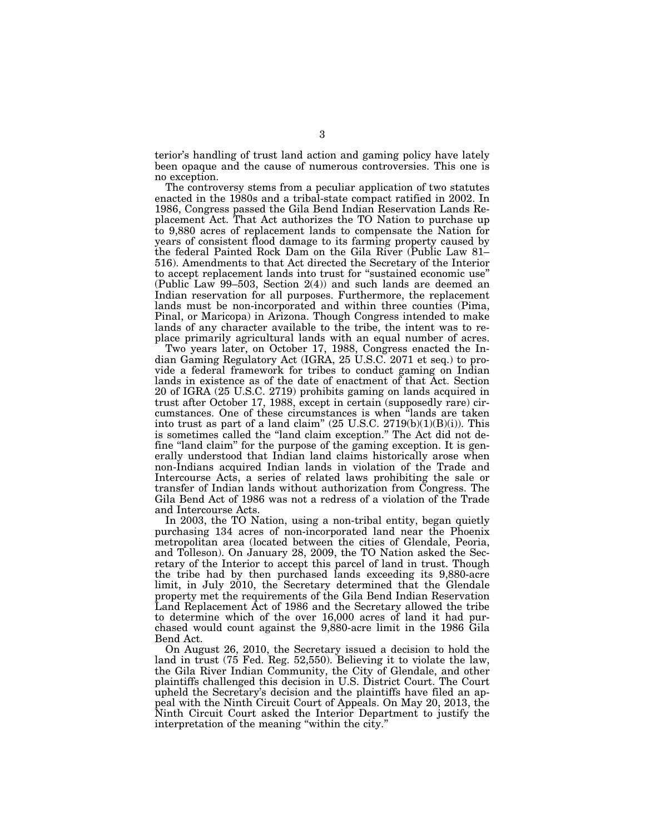terior's handling of trust land action and gaming policy have lately been opaque and the cause of numerous controversies. This one is no exception.

The controversy stems from a peculiar application of two statutes enacted in the 1980s and a tribal-state compact ratified in 2002. In 1986, Congress passed the Gila Bend Indian Reservation Lands Replacement Act. That Act authorizes the TO Nation to purchase up to 9,880 acres of replacement lands to compensate the Nation for years of consistent flood damage to its farming property caused by the federal Painted Rock Dam on the Gila River (Public Law 81– 516). Amendments to that Act directed the Secretary of the Interior to accept replacement lands into trust for ''sustained economic use'' (Public Law  $99-503$ , Section  $2(4)$ ) and such lands are deemed an Indian reservation for all purposes. Furthermore, the replacement lands must be non-incorporated and within three counties (Pima, Pinal, or Maricopa) in Arizona. Though Congress intended to make lands of any character available to the tribe, the intent was to replace primarily agricultural lands with an equal number of acres.

Two years later, on October 17, 1988, Congress enacted the Indian Gaming Regulatory Act (IGRA, 25 U.S.C. 2071 et seq.) to provide a federal framework for tribes to conduct gaming on Indian lands in existence as of the date of enactment of that Act. Section 20 of IGRA (25 U.S.C. 2719) prohibits gaming on lands acquired in trust after October 17, 1988, except in certain (supposedly rare) circumstances. One of these circumstances is when ''lands are taken into trust as part of a land claim"  $(25 \text{ U.S.C. } 2719(b)(1)(B)(i))$ . This is sometimes called the "land claim exception." The Act did not define "land claim" for the purpose of the gaming exception. It is generally understood that Indian land claims historically arose when non-Indians acquired Indian lands in violation of the Trade and Intercourse Acts, a series of related laws prohibiting the sale or transfer of Indian lands without authorization from Congress. The Gila Bend Act of 1986 was not a redress of a violation of the Trade and Intercourse Acts.

In 2003, the TO Nation, using a non-tribal entity, began quietly purchasing 134 acres of non-incorporated land near the Phoenix metropolitan area (located between the cities of Glendale, Peoria, and Tolleson). On January 28, 2009, the TO Nation asked the Secretary of the Interior to accept this parcel of land in trust. Though the tribe had by then purchased lands exceeding its 9,880-acre limit, in July 2010, the Secretary determined that the Glendale property met the requirements of the Gila Bend Indian Reservation Land Replacement Act of 1986 and the Secretary allowed the tribe to determine which of the over 16,000 acres of land it had purchased would count against the 9,880-acre limit in the 1986 Gila Bend Act.

On August 26, 2010, the Secretary issued a decision to hold the land in trust (75 Fed. Reg. 52,550). Believing it to violate the law, the Gila River Indian Community, the City of Glendale, and other plaintiffs challenged this decision in U.S. District Court. The Court upheld the Secretary's decision and the plaintiffs have filed an appeal with the Ninth Circuit Court of Appeals. On May 20, 2013, the Ninth Circuit Court asked the Interior Department to justify the interpretation of the meaning ''within the city.''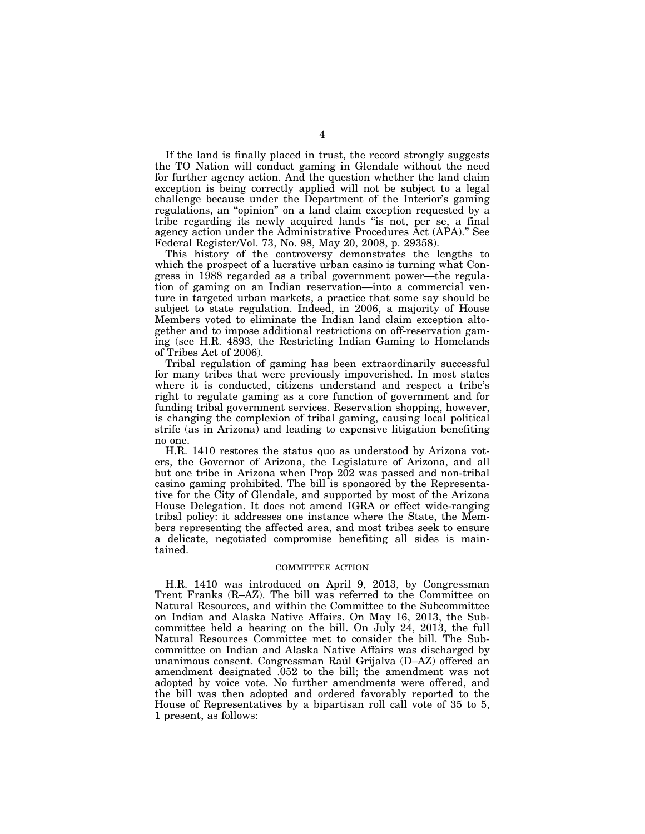If the land is finally placed in trust, the record strongly suggests the TO Nation will conduct gaming in Glendale without the need for further agency action. And the question whether the land claim exception is being correctly applied will not be subject to a legal challenge because under the Department of the Interior's gaming regulations, an ''opinion'' on a land claim exception requested by a tribe regarding its newly acquired lands ''is not, per se, a final agency action under the Administrative Procedures Act (APA).'' See Federal Register/Vol. 73, No. 98, May 20, 2008, p. 29358).

This history of the controversy demonstrates the lengths to which the prospect of a lucrative urban casino is turning what Congress in 1988 regarded as a tribal government power—the regulation of gaming on an Indian reservation—into a commercial venture in targeted urban markets, a practice that some say should be subject to state regulation. Indeed, in 2006, a majority of House Members voted to eliminate the Indian land claim exception altogether and to impose additional restrictions on off-reservation gaming (see H.R. 4893, the Restricting Indian Gaming to Homelands of Tribes Act of 2006).

Tribal regulation of gaming has been extraordinarily successful for many tribes that were previously impoverished. In most states where it is conducted, citizens understand and respect a tribe's right to regulate gaming as a core function of government and for funding tribal government services. Reservation shopping, however, is changing the complexion of tribal gaming, causing local political strife (as in Arizona) and leading to expensive litigation benefiting no one.

H.R. 1410 restores the status quo as understood by Arizona voters, the Governor of Arizona, the Legislature of Arizona, and all but one tribe in Arizona when Prop 202 was passed and non-tribal casino gaming prohibited. The bill is sponsored by the Representative for the City of Glendale, and supported by most of the Arizona House Delegation. It does not amend IGRA or effect wide-ranging tribal policy: it addresses one instance where the State, the Members representing the affected area, and most tribes seek to ensure a delicate, negotiated compromise benefiting all sides is maintained.

#### COMMITTEE ACTION

H.R. 1410 was introduced on April 9, 2013, by Congressman Trent Franks (R–AZ). The bill was referred to the Committee on Natural Resources, and within the Committee to the Subcommittee on Indian and Alaska Native Affairs. On May 16, 2013, the Subcommittee held a hearing on the bill. On July 24, 2013, the full Natural Resources Committee met to consider the bill. The Subcommittee on Indian and Alaska Native Affairs was discharged by unanimous consent. Congressman Raúl Grijalva (D–AZ) offered an amendment designated .052 to the bill; the amendment was not adopted by voice vote. No further amendments were offered, and the bill was then adopted and ordered favorably reported to the House of Representatives by a bipartisan roll call vote of 35 to 5, 1 present, as follows: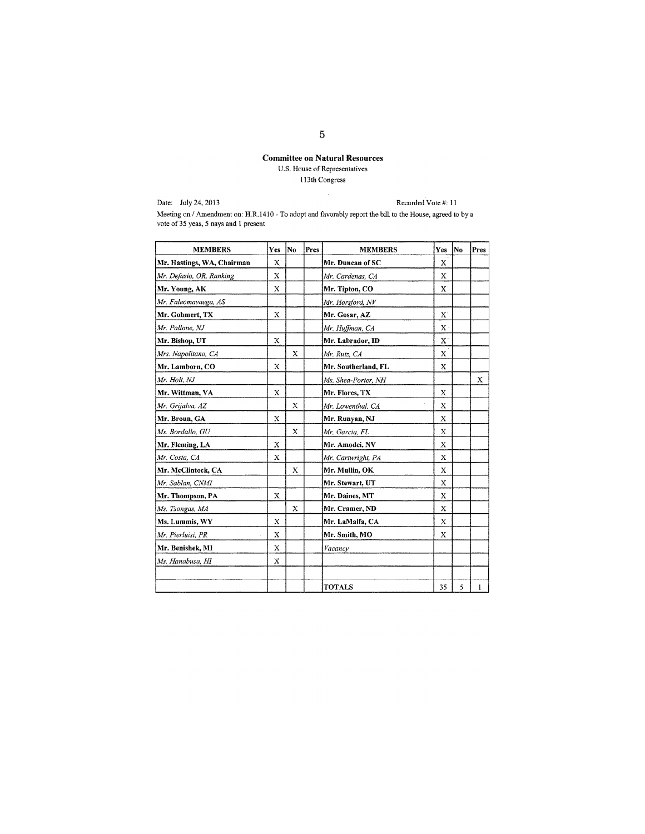# Committee on Natural Resources U.S. House of Representatives 113 th Congress

Date: July 24,2013

Recorded Vote #: II

Meeting on / Amendment on: H.R.1410 - To adopt and favorably report the bill to the House, agreed to by a vote of 35 yeas, 5 nays and I present

| <b>MEMBERS</b>             | Yes | No          | Pres | <b>MEMBERS</b>      | Yes          | No | Pres |
|----------------------------|-----|-------------|------|---------------------|--------------|----|------|
| Mr. Hastings, WA, Chairman | X   |             |      | Mr. Duncan of SC    | X            |    |      |
| Mr. Defazio, OR, Ranking   | X   |             |      | Mr. Cardenas, CA    | X            |    |      |
| Mr. Young, AK              | Х   |             |      | Mr. Tipton, CO      | X            |    |      |
| Mr. Faleomavaega, AS       |     |             |      | Mr. Horsford, NV    |              |    |      |
| Mr. Gohmert, TX            | X   |             |      | Mr. Gosar, AZ       | $\mathbf{X}$ |    |      |
| Mr. Pallone, NJ            |     |             |      | Mr. Huffman, CA     | $\mathbf{X}$ |    |      |
| Mr. Bishop, UT             | X   |             |      | Mr. Labrador, ID    | $\mathbf{X}$ |    |      |
| Mrs. Napolitano, CA        |     | X           |      | Mr. Ruiz, CA        | $\mathbf x$  |    |      |
| Mr. Lamborn, CO            | X   |             |      | Mr. Southerland, FL | X            |    |      |
| Mr. Holt, NJ               |     |             |      | Ms. Shea-Porter, NH |              |    | X    |
| Mr. Wittman, VA            | X   |             |      | Mr. Flores, TX      | X            |    |      |
| Mr. Grijalva, AZ           |     | $\mathbf x$ |      | Mr. Lowenthal, CA   | X            |    |      |
| Mr. Broun, GA              | X   |             |      | Mr. Runyan, NJ      | X            |    |      |
| Ms. Bordallo, GU           |     | X           |      | Mr. Garcia, FL      | X            |    |      |
| Mr. Fleming, LA            | X   |             |      | Mr. Amodei, NV      | X            |    |      |
| Mr. Costa, CA              | X   |             |      | Mr. Cartwright, PA  | X            |    |      |
| Mr. McClintock, CA         |     | X           |      | Mr. Mullin, OK      | X            |    |      |
| Mr. Sablan, CNMI           |     |             |      | Mr. Stewart, UT     | X            |    |      |
| Mr. Thompson, PA           | X   |             |      | Mr. Daines, MT      | X            |    |      |
| Ms. Tsongas, MA            |     | X           |      | Mr. Cramer, ND      | X            |    |      |
| Ms. Lummis, WY             | X   |             |      | Mr. LaMalfa, CA     | X            |    |      |
| Mr. Pierluisi, PR          | Х   |             |      | Mr. Smith, MO       | X            |    |      |
| Mr. Benishek, MI           | X   |             |      | Vacancy             |              |    |      |
| Ms. Hanabusa, HI           | X   |             |      |                     |              |    |      |
|                            |     |             |      | <b>TOTALS</b>       | 35           | 5  | 1    |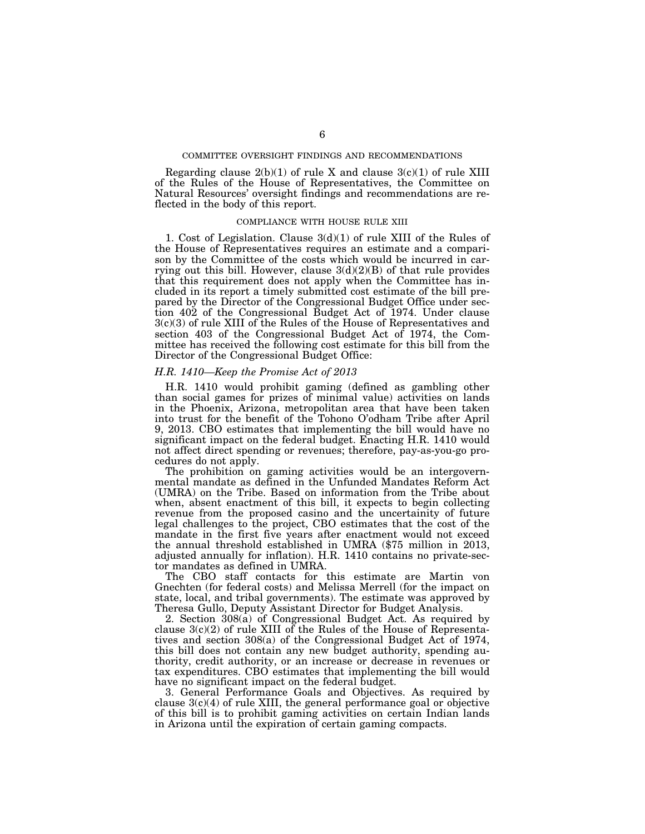## COMMITTEE OVERSIGHT FINDINGS AND RECOMMENDATIONS

Regarding clause  $2(b)(1)$  of rule X and clause  $3(c)(1)$  of rule XIII of the Rules of the House of Representatives, the Committee on Natural Resources' oversight findings and recommendations are reflected in the body of this report.

#### COMPLIANCE WITH HOUSE RULE XIII

1. Cost of Legislation. Clause 3(d)(1) of rule XIII of the Rules of the House of Representatives requires an estimate and a comparison by the Committee of the costs which would be incurred in carrying out this bill. However, clause  $3(d)(2)(B)$  of that rule provides that this requirement does not apply when the Committee has included in its report a timely submitted cost estimate of the bill prepared by the Director of the Congressional Budget Office under section 402 of the Congressional Budget Act of 1974. Under clause 3(c)(3) of rule XIII of the Rules of the House of Representatives and section 403 of the Congressional Budget Act of 1974, the Committee has received the following cost estimate for this bill from the Director of the Congressional Budget Office:

## *H.R. 1410—Keep the Promise Act of 2013*

H.R. 1410 would prohibit gaming (defined as gambling other than social games for prizes of minimal value) activities on lands in the Phoenix, Arizona, metropolitan area that have been taken into trust for the benefit of the Tohono O'odham Tribe after April 9, 2013. CBO estimates that implementing the bill would have no significant impact on the federal budget. Enacting H.R. 1410 would not affect direct spending or revenues; therefore, pay-as-you-go procedures do not apply.

The prohibition on gaming activities would be an intergovernmental mandate as defined in the Unfunded Mandates Reform Act (UMRA) on the Tribe. Based on information from the Tribe about when, absent enactment of this bill, it expects to begin collecting revenue from the proposed casino and the uncertainity of future legal challenges to the project, CBO estimates that the cost of the mandate in the first five years after enactment would not exceed the annual threshold established in UMRA (\$75 million in 2013, adjusted annually for inflation). H.R. 1410 contains no private-sector mandates as defined in UMRA.

The CBO staff contacts for this estimate are Martin von Gnechten (for federal costs) and Melissa Merrell (for the impact on state, local, and tribal governments). The estimate was approved by Theresa Gullo, Deputy Assistant Director for Budget Analysis.

2. Section 308(a) of Congressional Budget Act. As required by clause  $3(c)(2)$  of rule XIII of the Rules of the House of Representatives and section 308(a) of the Congressional Budget Act of 1974, this bill does not contain any new budget authority, spending authority, credit authority, or an increase or decrease in revenues or tax expenditures. CBO estimates that implementing the bill would have no significant impact on the federal budget.

3. General Performance Goals and Objectives. As required by clause  $3(c)(4)$  of rule XIII, the general performance goal or objective of this bill is to prohibit gaming activities on certain Indian lands in Arizona until the expiration of certain gaming compacts.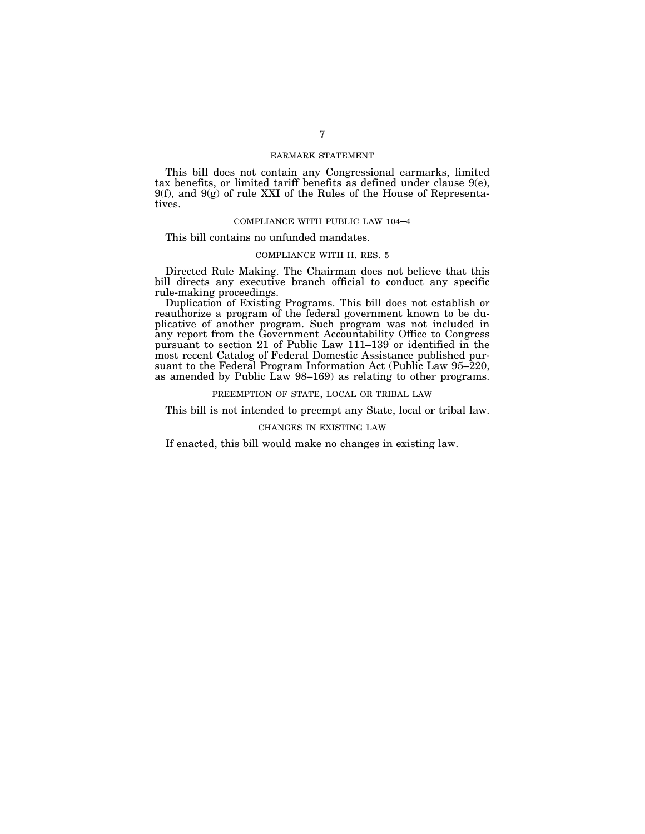## EARMARK STATEMENT

This bill does not contain any Congressional earmarks, limited tax benefits, or limited tariff benefits as defined under clause 9(e), 9(f), and 9(g) of rule XXI of the Rules of the House of Representatives.

## COMPLIANCE WITH PUBLIC LAW 104–4

This bill contains no unfunded mandates.

#### COMPLIANCE WITH H. RES. 5

Directed Rule Making. The Chairman does not believe that this bill directs any executive branch official to conduct any specific rule-making proceedings.

Duplication of Existing Programs. This bill does not establish or reauthorize a program of the federal government known to be duplicative of another program. Such program was not included in any report from the Government Accountability Office to Congress pursuant to section 21 of Public Law 111–139 or identified in the most recent Catalog of Federal Domestic Assistance published pursuant to the Federal Program Information Act (Public Law 95–220, as amended by Public Law 98–169) as relating to other programs.

PREEMPTION OF STATE, LOCAL OR TRIBAL LAW

This bill is not intended to preempt any State, local or tribal law.

#### CHANGES IN EXISTING LAW

If enacted, this bill would make no changes in existing law.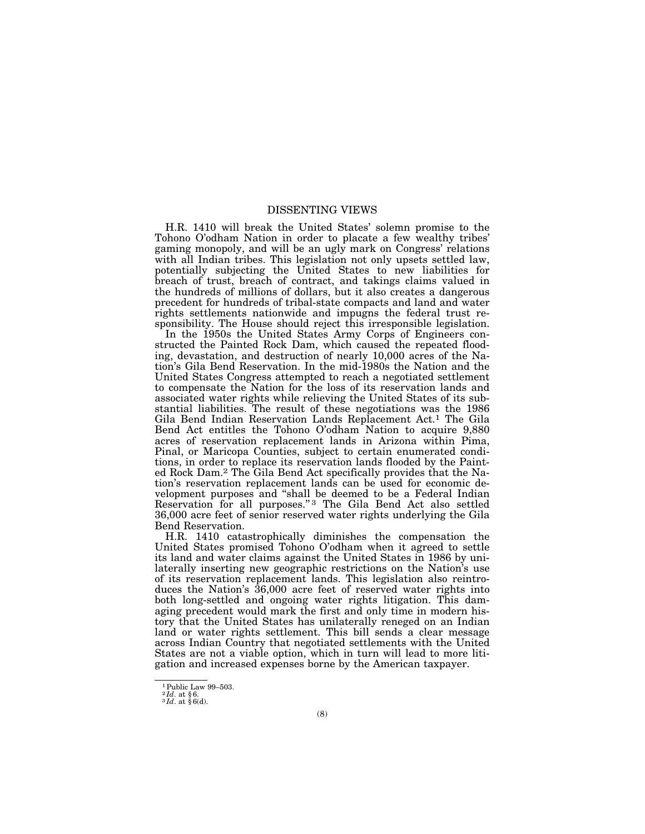## DISSENTING VIEWS

H.R. 1410 will break the United States' solemn promise to the Tohono O'odham Nation in order to placate a few wealthy tribes' gaming monopoly, and will be an ugly mark on Congress' relations with all Indian tribes. This legislation not only upsets settled law, potentially subjecting the United States to new liabilities for breach of trust, breach of contract, and takings claims valued in the hundreds of millions of dollars, but it also creates a dangerous precedent for hundreds of tribal-state compacts and land and water rights settlements nationwide and impugns the federal trust responsibility. The House should reject this irresponsible legislation.

In the 1950s the United States Army Corps of Engineers constructed the Painted Rock Dam, which caused the repeated flooding, devastation, and destruction of nearly 10,000 acres of the Nation's Gila Bend Reservation. In the mid-1980s the Nation and the United States Congress attempted to reach a negotiated settlement to compensate the Nation for the loss of its reservation lands and associated water rights while relieving the United States of its substantial liabilities. The result of these negotiations was the 1986 Gila Bend Indian Reservation Lands Replacement Act.1 The Gila Bend Act entitles the Tohono O'odham Nation to acquire 9,880 acres of reservation replacement lands in Arizona within Pima, Pinal, or Maricopa Counties, subject to certain enumerated conditions, in order to replace its reservation lands flooded by the Painted Rock Dam.2 The Gila Bend Act specifically provides that the Nation's reservation replacement lands can be used for economic development purposes and "shall be deemed to be a Federal Indian Reservation for all purposes."<sup>3</sup> The Gila Bend Act also settled 36,000 acre feet of senior reserved water rights underlying the Gila Bend Reservation.

H.R. 1410 catastrophically diminishes the compensation the United States promised Tohono O'odham when it agreed to settle its land and water claims against the United States in 1986 by unilaterally inserting new geographic restrictions on the Nation's use of its reservation replacement lands. This legislation also reintroduces the Nation's 36,000 acre feet of reserved water rights into both long-settled and ongoing water rights litigation. This damaging precedent would mark the first and only time in modern history that the United States has unilaterally reneged on an Indian land or water rights settlement. This bill sends a clear message across Indian Country that negotiated settlements with the United States are not a viable option, which in turn will lead to more litigation and increased expenses borne by the American taxpayer.

<sup>1</sup>Public Law 99–503.

 $^{2}$ *Id*. at § 6.  $^{3}$ *Id*. at § 6(d).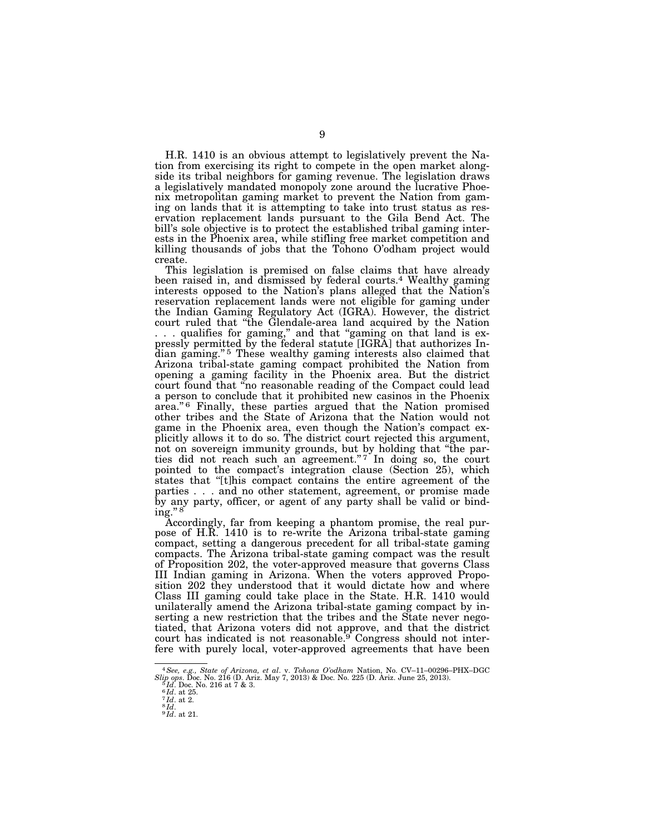H.R. 1410 is an obvious attempt to legislatively prevent the Nation from exercising its right to compete in the open market alongside its tribal neighbors for gaming revenue. The legislation draws a legislatively mandated monopoly zone around the lucrative Phoenix metropolitan gaming market to prevent the Nation from gaming on lands that it is attempting to take into trust status as reservation replacement lands pursuant to the Gila Bend Act. The bill's sole objective is to protect the established tribal gaming interests in the Phoenix area, while stifling free market competition and killing thousands of jobs that the Tohono O'odham project would create.

This legislation is premised on false claims that have already been raised in, and dismissed by federal courts.4 Wealthy gaming interests opposed to the Nation's plans alleged that the Nation's reservation replacement lands were not eligible for gaming under the Indian Gaming Regulatory Act (IGRA). However, the district court ruled that ''the Glendale-area land acquired by the Nation ... qualifies for gaming," and that "gaming on that land is expressly permitted by the federal statute [IGRA] that authorizes Indian gaming."<sup>5</sup> These wealthy gaming interests also claimed that Arizona tribal-state gaming compact prohibited the Nation from opening a gaming facility in the Phoenix area. But the district court found that ''no reasonable reading of the Compact could lead a person to conclude that it prohibited new casinos in the Phoenix area."<sup>6</sup> Finally, these parties argued that the Nation promised other tribes and the State of Arizona that the Nation would not game in the Phoenix area, even though the Nation's compact explicitly allows it to do so. The district court rejected this argument, not on sovereign immunity grounds, but by holding that ''the parties did not reach such an agreement."<sup>7</sup> In doing so, the court pointed to the compact's integration clause (Section 25), which states that ''[t]his compact contains the entire agreement of the parties . . . and no other statement, agreement, or promise made by any party, officer, or agent of any party shall be valid or binding." $8$ 

Accordingly, far from keeping a phantom promise, the real purpose of H.R. 1410 is to re-write the Arizona tribal-state gaming compact, setting a dangerous precedent for all tribal-state gaming compacts. The Arizona tribal-state gaming compact was the result of Proposition 202, the voter-approved measure that governs Class III Indian gaming in Arizona. When the voters approved Proposition 202 they understood that it would dictate how and where Class III gaming could take place in the State. H.R. 1410 would unilaterally amend the Arizona tribal-state gaming compact by inserting a new restriction that the tribes and the State never negotiated, that Arizona voters did not approve, and that the district court has indicated is not reasonable.<sup>9</sup> Congress should not interfere with purely local, voter-approved agreements that have been

<sup>&</sup>lt;sup>4</sup> See, e.g., State of Arizona, et al. v. Tohona O'odham Nation, No. CV-11-00296-PHX-DGC Slip ops. Doc. No. 216 (D. Ariz. May 7, 2013) & Doc. No. 225 (D. Ariz. June 25, 2013).<br>
Slip ops. Doc. No. 216 at 7 & 3.<br>
<sup>5</sup>Id. Do